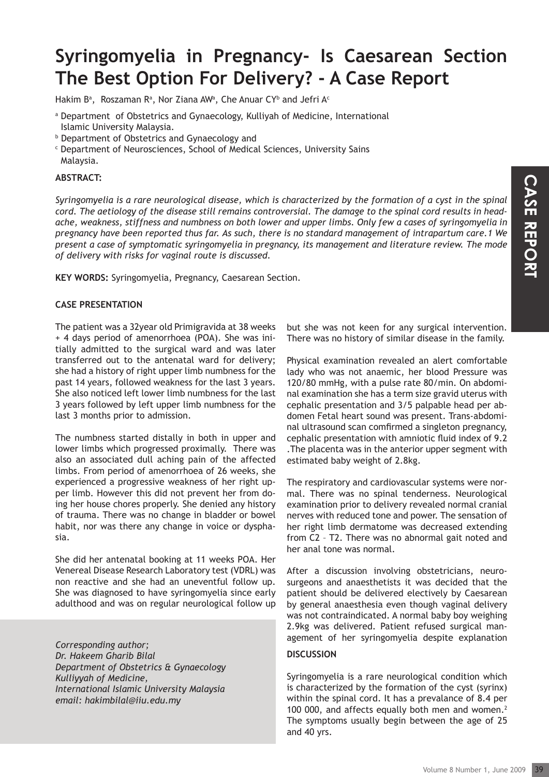# **Syringomyelia in Pregnancy- Is Caesarean Section The Best Option For Delivery? - A Case Report**

Hakim B<sup>a</sup>, Roszaman R<sup>a</sup>, Nor Ziana AW<sup>a</sup>, Che Anuar CY<sup>b</sup> and Jefri A<sup>c</sup>

- a Department of Obstetrics and Gynaecology, Kulliyah of Medicine, International Islamic University Malaysia.
- b Department of Obstetrics and Gynaecology and
- c Department of Neurosciences, School of Medical Sciences, University Sains Malaysia.

## **ABSTRACT:**

*Syringomyelia is a rare neurological disease, which is characterized by the formation of a cyst in the spinal cord. The aetiology of the disease still remains controversial. The damage to the spinal cord results in headache, weakness, stiffness and numbness on both lower and upper limbs. Only few a cases of syringomyelia in pregnancy have been reported thus far. As such, there is no standard management of intrapartum care.1 We present a case of symptomatic syringomyelia in pregnancy, its management and literature review. The mode of delivery with risks for vaginal route is discussed.*

**KEY WORDS:** Syringomyelia, Pregnancy, Caesarean Section.

## **CASE PRESENTATION**

The patient was a 32year old Primigravida at 38 weeks + 4 days period of amenorrhoea (POA). She was initially admitted to the surgical ward and was later transferred out to the antenatal ward for delivery; she had a history of right upper limb numbness for the past 14 years, followed weakness for the last 3 years. She also noticed left lower limb numbness for the last 3 years followed by left upper limb numbness for the last 3 months prior to admission.

The numbness started distally in both in upper and lower limbs which progressed proximally. There was also an associated dull aching pain of the affected limbs. From period of amenorrhoea of 26 weeks, she experienced a progressive weakness of her right upper limb. However this did not prevent her from doing her house chores properly. She denied any history of trauma. There was no change in bladder or bowel habit, nor was there any change in voice or dysphasia.

She did her antenatal booking at 11 weeks POA. Her Venereal Disease Research Laboratory test (VDRL) was non reactive and she had an uneventful follow up. She was diagnosed to have syringomyelia since early adulthood and was on regular neurological follow up

 *Corresponding author; Dr. Hakeem Gharib Bilal Department of Obstetrics & Gynaecology Kulliyyah of Medicine, International Islamic University Malaysia email: hakimbilal@iiu.edu.my*

but she was not keen for any surgical intervention. There was no history of similar disease in the family.

of a cyst in the spinal<br>
It cord results in head-<br>
netrapartum care. 1 We<br>
exerce of syringomyelia in<br>
trure review. The mode<br>
surgical intervention.<br>
disease in the family.<br>
an alert comfortable<br>
exerce blood Pressure was Physical examination revealed an alert comfortable lady who was not anaemic, her blood Pressure was 120/80 mmHg, with a pulse rate 80/min. On abdominal examination she has a term size gravid uterus with cephalic presentation and 3/5 palpable head per abdomen Fetal heart sound was present. Trans-abdominal ultrasound scan comfirmed a singleton pregnancy, cephalic presentation with amniotic fluid index of 9.2 .The placenta was in the anterior upper segment with estimated baby weight of 2.8kg.

The respiratory and cardiovascular systems were normal. There was no spinal tenderness. Neurological examination prior to delivery revealed normal cranial nerves with reduced tone and power. The sensation of her right limb dermatome was decreased extending from C2 – T2. There was no abnormal gait noted and her anal tone was normal.

After a discussion involving obstetricians, neurosurgeons and anaesthetists it was decided that the patient should be delivered electively by Caesarean by general anaesthesia even though vaginal delivery was not contraindicated. A normal baby boy weighing 2.9kg was delivered. Patient refused surgical management of her syringomyelia despite explanation

#### **DISCUSSION**

Syringomyelia is a rare neurological condition which is characterized by the formation of the cyst (syrinx) within the spinal cord. It has a prevalance of 8.4 per 100 000, and affects equally both men and women.<sup>2</sup> The symptoms usually begin between the age of 25 and 40 yrs.